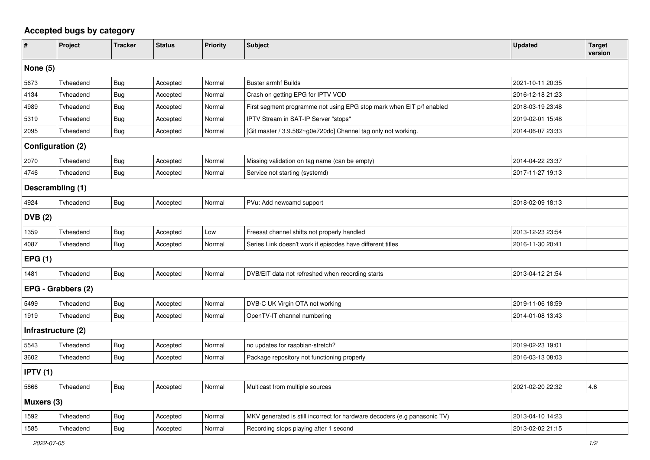## **Accepted bugs by category**

| #                        | Project   | <b>Tracker</b> | <b>Status</b> | <b>Priority</b> | <b>Subject</b>                                                            | <b>Updated</b>   | <b>Target</b><br>version |  |  |  |
|--------------------------|-----------|----------------|---------------|-----------------|---------------------------------------------------------------------------|------------------|--------------------------|--|--|--|
| None $(5)$               |           |                |               |                 |                                                                           |                  |                          |  |  |  |
| 5673                     | Tvheadend | <b>Bug</b>     | Accepted      | Normal          | <b>Buster armhf Builds</b>                                                | 2021-10-11 20:35 |                          |  |  |  |
| 4134                     | Tvheadend | <b>Bug</b>     | Accepted      | Normal          | Crash on getting EPG for IPTV VOD                                         | 2016-12-18 21:23 |                          |  |  |  |
| 4989                     | Tvheadend | <b>Bug</b>     | Accepted      | Normal          | First segment programme not using EPG stop mark when EIT p/f enabled      | 2018-03-19 23:48 |                          |  |  |  |
| 5319                     | Tvheadend | <b>Bug</b>     | Accepted      | Normal          | IPTV Stream in SAT-IP Server "stops"                                      | 2019-02-01 15:48 |                          |  |  |  |
| 2095                     | Tvheadend | <b>Bug</b>     | Accepted      | Normal          | [Git master / 3.9.582~g0e720dc] Channel tag only not working.             | 2014-06-07 23:33 |                          |  |  |  |
| <b>Configuration (2)</b> |           |                |               |                 |                                                                           |                  |                          |  |  |  |
| 2070                     | Tvheadend | Bug            | Accepted      | Normal          | Missing validation on tag name (can be empty)                             | 2014-04-22 23:37 |                          |  |  |  |
| 4746                     | Tvheadend | Bug            | Accepted      | Normal          | Service not starting (systemd)                                            | 2017-11-27 19:13 |                          |  |  |  |
| Descrambling (1)         |           |                |               |                 |                                                                           |                  |                          |  |  |  |
| 4924                     | Tvheadend | Bug            | Accepted      | Normal          | PVu: Add newcamd support                                                  | 2018-02-09 18:13 |                          |  |  |  |
| <b>DVB</b> (2)           |           |                |               |                 |                                                                           |                  |                          |  |  |  |
| 1359                     | Tvheadend | Bug            | Accepted      | Low             | Freesat channel shifts not properly handled                               | 2013-12-23 23:54 |                          |  |  |  |
| 4087                     | Tyheadend | <b>Bug</b>     | Accepted      | Normal          | Series Link doesn't work if episodes have different titles                | 2016-11-30 20:41 |                          |  |  |  |
| EPG(1)                   |           |                |               |                 |                                                                           |                  |                          |  |  |  |
| 1481                     | Tvheadend | <b>Bug</b>     | Accepted      | Normal          | DVB/EIT data not refreshed when recording starts                          | 2013-04-12 21:54 |                          |  |  |  |
| EPG - Grabbers (2)       |           |                |               |                 |                                                                           |                  |                          |  |  |  |
| 5499                     | Tvheadend | Bug            | Accepted      | Normal          | DVB-C UK Virgin OTA not working                                           | 2019-11-06 18:59 |                          |  |  |  |
| 1919                     | Tvheadend | Bug            | Accepted      | Normal          | OpenTV-IT channel numbering                                               | 2014-01-08 13:43 |                          |  |  |  |
| Infrastructure (2)       |           |                |               |                 |                                                                           |                  |                          |  |  |  |
| 5543                     | Tvheadend | <b>Bug</b>     | Accepted      | Normal          | no updates for raspbian-stretch?                                          | 2019-02-23 19:01 |                          |  |  |  |
| 3602                     | Tvheadend | Bug            | Accepted      | Normal          | Package repository not functioning properly                               | 2016-03-13 08:03 |                          |  |  |  |
| IPTV(1)                  |           |                |               |                 |                                                                           |                  |                          |  |  |  |
| 5866                     | Tvheadend | <b>Bug</b>     | Accepted      | Normal          | Multicast from multiple sources                                           | 2021-02-20 22:32 | 4.6                      |  |  |  |
| Muxers (3)               |           |                |               |                 |                                                                           |                  |                          |  |  |  |
| 1592                     | Tvheadend | <b>Bug</b>     | Accepted      | Normal          | MKV generated is still incorrect for hardware decoders (e.g panasonic TV) | 2013-04-10 14:23 |                          |  |  |  |
| 1585                     | Tvheadend | <b>Bug</b>     | Accepted      | Normal          | Recording stops playing after 1 second                                    | 2013-02-02 21:15 |                          |  |  |  |